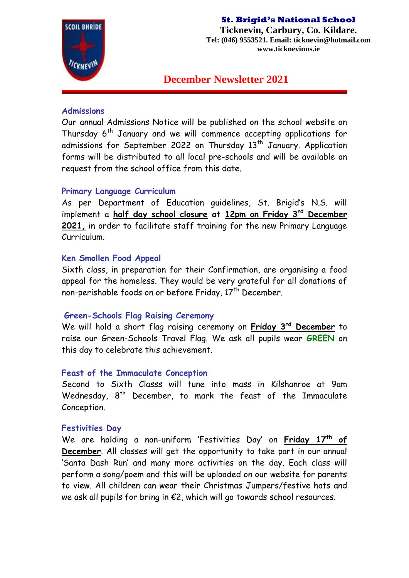

**Ticknevin, Carbury, Co. Kildare. Tel: (046) 9553521. Email: ticknevin@hotmail.com www.ticknevinns.ie**

**December Newsletter 2021**

### **Admissions**

Our annual Admissions Notice will be published on the school website on Thursday  $6<sup>th</sup>$  January and we will commence accepting applications for admissions for September 2022 on Thursday 13<sup>th</sup> January. Application forms will be distributed to all local pre-schools and will be available on request from the school office from this date.

## **Primary Language Curriculum**

As per Department of Education guidelines, St. Brigid's N.S. will implement a **half day school closure at 12pm on Friday 3rd December 2021,** in order to facilitate staff training for the new Primary Language Curriculum.

## **Ken Smollen Food Appeal**

Sixth class, in preparation for their Confirmation, are organising a food appeal for the homeless. They would be very grateful for all donations of non-perishable foods on or before Friday, 17<sup>th</sup> December.

### **Green-Schools Flag Raising Ceremony**

We will hold a short flag raising ceremony on **Friday 3rd December** to raise our Green-Schools Travel Flag. We ask all pupils wear **GREEN** on this day to celebrate this achievement.

### **Feast of the Immaculate Conception**

Second to Sixth Classs will tune into mass in Kilshanroe at 9am Wednesday, 8<sup>th</sup> December, to mark the feast of the Immaculate Conception.

### **Festivities Day**

We are holding a non-uniform 'Festivities Day' on **Friday 17th of December**. All classes will get the opportunity to take part in our annual 'Santa Dash Run' and many more activities on the day. Each class will perform a song/poem and this will be uploaded on our website for parents to view. All children can wear their Christmas Jumpers/festive hats and we ask all pupils for bring in €2, which will go towards school resources.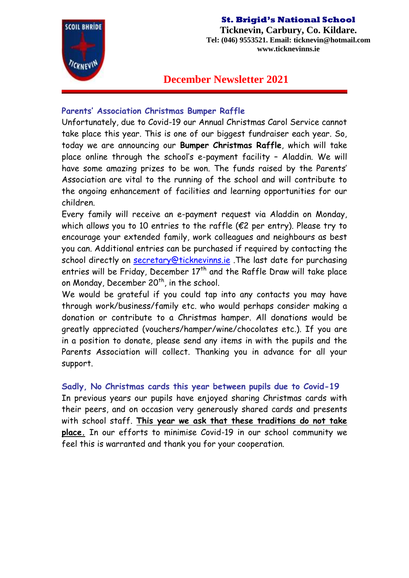

**Ticknevin, Carbury, Co. Kildare. Tel: (046) 9553521. Email: ticknevin@hotmail.com www.ticknevinns.ie**

# **December Newsletter 2021**

## **Parents' Association Christmas Bumper Raffle**

Unfortunately, due to Covid-19 our Annual Christmas Carol Service cannot take place this year. This is one of our biggest fundraiser each year. So, today we are announcing our **Bumper Christmas Raffle**, which will take place online through the school's e-payment facility – Aladdin. We will have some amazing prizes to be won. The funds raised by the Parents' Association are vital to the running of the school and will contribute to the ongoing enhancement of facilities and learning opportunities for our children.

Every family will receive an e-payment request via Aladdin on Monday, which allows you to 10 entries to the raffle ( $\epsilon$ 2 per entry). Please try to encourage your extended family, work colleagues and neighbours as best you can. Additional entries can be purchased if required by contacting the school directly on [secretary@ticknevinns.ie](mailto:secretary@ticknevinns.ie). The last date for purchasing entries will be Friday, December  $17<sup>th</sup>$  and the Raffle Draw will take place on Monday, December 20<sup>th</sup>, in the school.

We would be grateful if you could tap into any contacts you may have through work/business/family etc. who would perhaps consider making a donation or contribute to a Christmas hamper. All donations would be greatly appreciated (vouchers/hamper/wine/chocolates etc.). If you are in a position to donate, please send any items in with the pupils and the Parents Association will collect. Thanking you in advance for all your support.

## **Sadly, No Christmas cards this year between pupils due to Covid-19**

In previous years our pupils have enjoyed sharing Christmas cards with their peers, and on occasion very generously shared cards and presents with school staff. **This year we ask that these traditions do not take place.** In our efforts to minimise Covid-19 in our school community we feel this is warranted and thank you for your cooperation.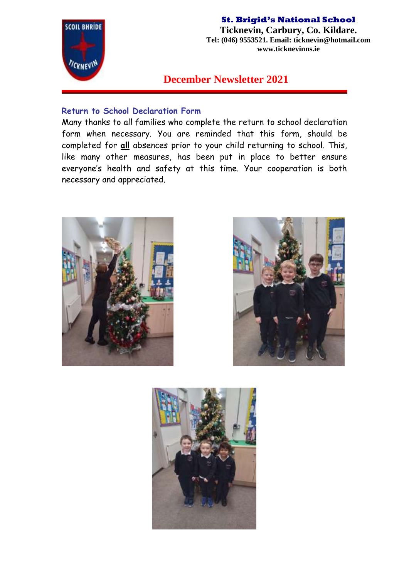

**Ticknevin, Carbury, Co. Kildare. Tel: (046) 9553521. Email: ticknevin@hotmail.com www.ticknevinns.ie**

**December Newsletter 2021**

## **Return to School Declaration Form**

Many thanks to all families who complete the return to school declaration form when necessary. You are reminded that this form, should be completed for **all** absences prior to your child returning to school. This, like many other measures, has been put in place to better ensure everyone's health and safety at this time. Your cooperation is both necessary and appreciated.